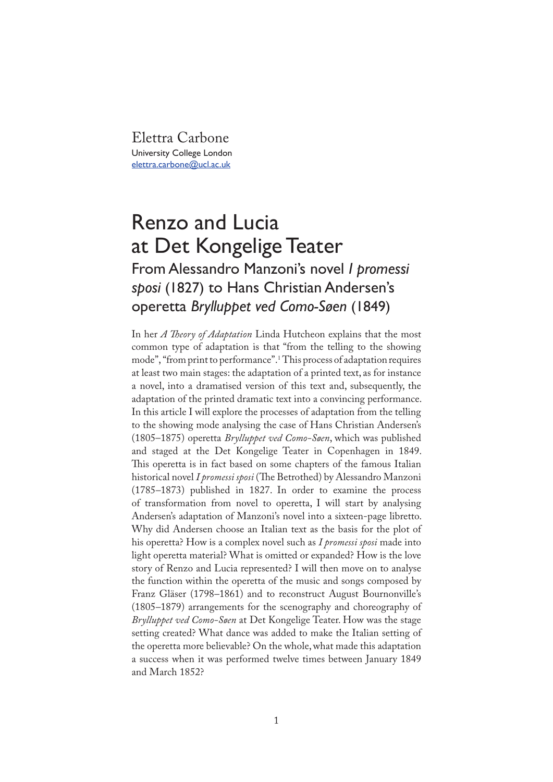Elettra Carbone University College London elettra.carbone@ucl.ac.uk

## Renzo and Lucia at Det Kongelige Teater

## From Alessandro Manzoni's novel *I promessi sposi* (1827) to Hans Christian Andersen's operetta *Brylluppet ved Como-Søen* (1849)

In her *A �eory of Adaptation* Linda Hutcheon explains that the most common type of adaptation is that "from the telling to the showing mode", "from print to performance".<sup>1</sup> This process of adaptation requires at least two main stages: the adaptation of a printed text, as for instance a novel, into a dramatised version of this text and, subsequently, the adaptation of the printed dramatic text into a convincing performance. In this article I will explore the processes of adaptation from the telling to the showing mode analysing the case of Hans Christian Andersen's (1805–1875) operetta *Brylluppet ved Como-Søen*, which was published and staged at the Det Kongelige Teater in Copenhagen in 1849. This operetta is in fact based on some chapters of the famous Italian historical novel *I promessi sposi* (The Betrothed) by Alessandro Manzoni (1785*–*1873) published in 1827. In order to examine the process of transformation from novel to operetta, I will start by analysing Andersen's adaptation of Manzoni's novel into a sixteen-page libretto. Why did Andersen choose an Italian text as the basis for the plot of his operetta? How is a complex novel such as *I promessi sposi* made into light operetta material? What is omitted or expanded? How is the love story of Renzo and Lucia represented? I will then move on to analyse the function within the operetta of the music and songs composed by Franz Gläser (1798*–*1861) and to reconstruct August Bournonville's (1805*–*1879) arrangements for the scenography and choreography of *Brylluppet ved Como-Søen* at Det Kongelige Teater. How was the stage setting created? What dance was added to make the Italian setting of the operetta more believable? On the whole, what made this adaptation a success when it was performed twelve times between January 1849 and March 1852?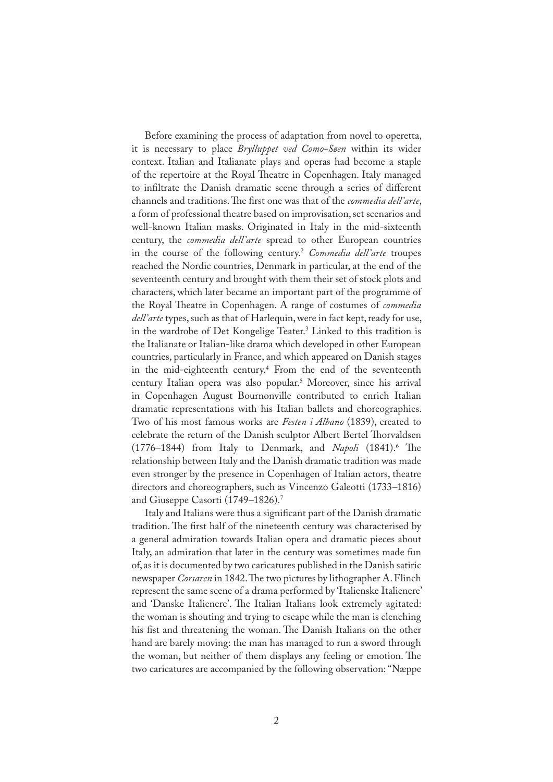Before examining the process of adaptation from novel to operetta, it is necessary to place *Brylluppet ved Como-Søen* within its wider context. Italian and Italianate plays and operas had become a staple of the repertoire at the Royal Theatre in Copenhagen. Italy managed to in�ltrate the Danish dramatic scene through a series of different channels and traditions. �e �rst one was that of the *commedia dell'arte*, a form of professional theatre based on improvisation, set scenarios and well-known Italian masks. Originated in Italy in the mid-sixteenth century, the *commedia dell'arte* spread to other European countries in the course of the following century.<sup>2</sup> *Commedia dell'arte* troupes reached the Nordic countries, Denmark in particular, at the end of the seventeenth century and brought with them their set of stock plots and characters, which later became an important part of the programme of the Royal Theatre in Copenhagen. A range of costumes of *commedia dell'arte* types, such as that of Harlequin, were in fact kept, ready for use, in the wardrobe of Det Kongelige Teater.<sup>3</sup> Linked to this tradition is the Italianate or Italian-like drama which developed in other European countries, particularly in France, and which appeared on Danish stages in the mid-eighteenth century.<sup>4</sup> From the end of the seventeenth century Italian opera was also popular.<sup>5</sup> Moreover, since his arrival in Copenhagen August Bournonville contributed to enrich Italian dramatic representations with his Italian ballets and choreographies. Two of his most famous works are *Festen i Albano* (1839), created to celebrate the return of the Danish sculptor Albert Bertel Thorvaldsen (1776–1844) from Italy to Denmark, and *Napoli* (1841).<sup>6</sup> The relationship between Italy and the Danish dramatic tradition was made even stronger by the presence in Copenhagen of Italian actors, theatre directors and choreographers, such as Vincenzo Galeotti (1733*–*1816) and Giuseppe Casorti (1749*–*1826).<sup>7</sup>

Italy and Italians were thus a significant part of the Danish dramatic tradition. The first half of the nineteenth century was characterised by a general admiration towards Italian opera and dramatic pieces about Italy, an admiration that later in the century was sometimes made fun of, as it is documented by two caricatures published in the Danish satiric newspaper *Corsaren* in 1842. The two pictures by lithographer A. Flinch represent the same scene of a drama performed by 'Italienske Italienere' and 'Danske Italienere'. The Italian Italians look extremely agitated: the woman is shouting and trying to escape while the man is clenching his fist and threatening the woman. The Danish Italians on the other hand are barely moving: the man has managed to run a sword through the woman, but neither of them displays any feeling or emotion. The two caricatures are accompanied by the following observation: "Næppe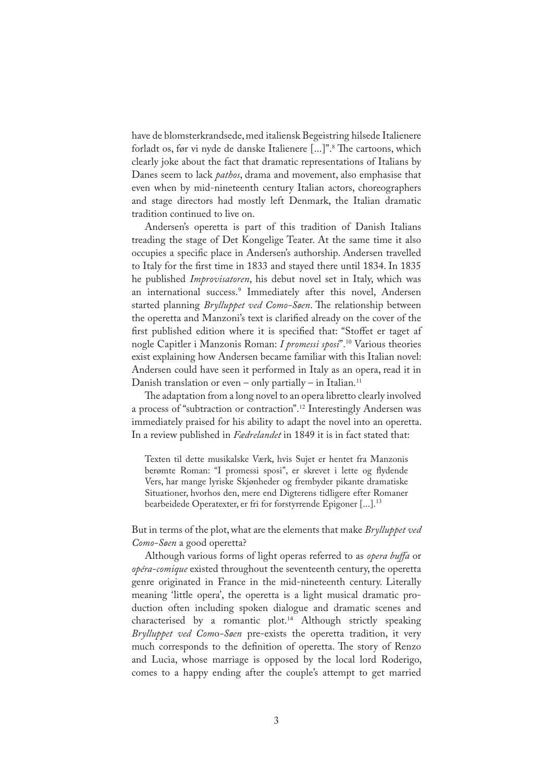have de blomsterkrandsede, med italiensk Begeistring hilsede Italienere forladt os, før vi nyde de danske Italienere [...]".<sup>8</sup> The cartoons, which clearly joke about the fact that dramatic representations of Italians by Danes seem to lack *pathos*, drama and movement, also emphasise that even when by mid-nineteenth century Italian actors, choreographers and stage directors had mostly left Denmark, the Italian dramatic tradition continued to live on.

Andersen's operetta is part of this tradition of Danish Italians treading the stage of Det Kongelige Teater. At the same time it also occupies a speci�c place in Andersen's authorship. Andersen travelled to Italy for the �rst time in 1833 and stayed there until 1834. In 1835 he published *Improvisatoren*, his debut novel set in Italy, which was an international success.<sup>9</sup> Immediately after this novel, Andersen started planning *Brylluppet ved Como-Søen*. The relationship between the operetta and Manzoni's text is clarified already on the cover of the first published edition where it is specified that: "Stoffet er taget af nogle Capitler i Manzonis Roman: *I promessi sposi*".<sup>10</sup> Various theories exist explaining how Andersen became familiar with this Italian novel: Andersen could have seen it performed in Italy as an opera, read it in Danish translation or even – only partially – in Italian.<sup>11</sup>

The adaptation from a long novel to an opera libretto clearly involved a process of "subtraction or contraction".<sup>12</sup> Interestingly Andersen was immediately praised for his ability to adapt the novel into an operetta. In a review published in *Fædrelandet* in 1849 it is in fact stated that:

Texten til dette musikalske Værk, hvis Sujet er hentet fra Manzonis berømte Roman: "I promessi sposi", er skrevet i lette og flydende Vers, har mange lyriske Skjønheder og frembyder pikante dramatiske Situationer, hvorhos den, mere end Digterens tidligere efter Romaner bearbeidede Operatexter, er fri for forstyrrende Epigoner [...].<sup>13</sup>

But in terms of the plot, what are the elements that make *Brylluppet ved Como-Søen* a good operetta?

Although various forms of light operas referred to as *opera buffa* or *opéra-comique* existed throughout the seventeenth century, the operetta genre originated in France in the mid-nineteenth century. Literally meaning 'little opera', the operetta is a light musical dramatic production often including spoken dialogue and dramatic scenes and characterised by a romantic plot.<sup>14</sup> Although strictly speaking *Brylluppet ved Com*o*-Søen* pre-exists the operetta tradition, it very much corresponds to the definition of operetta. The story of Renzo and Lucia, whose marriage is opposed by the local lord Roderigo, comes to a happy ending after the couple's attempt to get married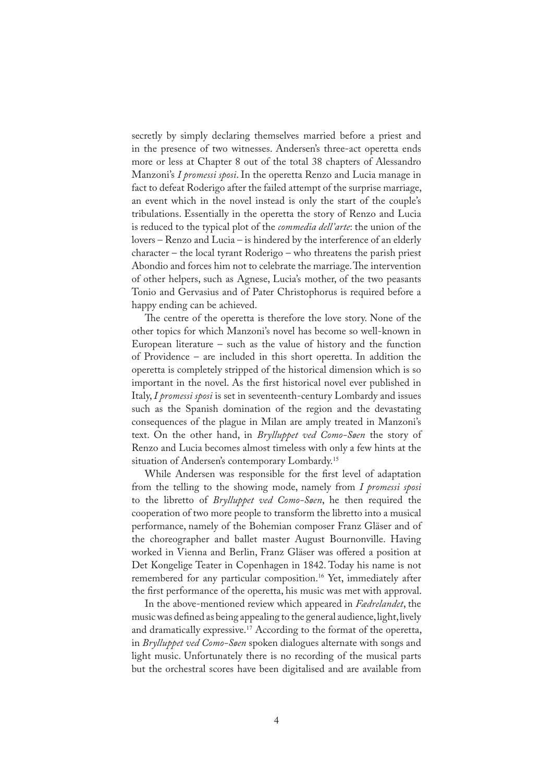secretly by simply declaring themselves married before a priest and in the presence of two witnesses. Andersen's three-act operetta ends more or less at Chapter 8 out of the total 38 chapters of Alessandro Manzoni's *I promessi sposi*. In the operetta Renzo and Lucia manage in fact to defeat Roderigo after the failed attempt of the surprise marriage, an event which in the novel instead is only the start of the couple's tribulations. Essentially in the operetta the story of Renzo and Lucia is reduced to the typical plot of the *commedia dell'arte*: the union of the lovers – Renzo and Lucia – is hindered by the interference of an elderly character – the local tyrant Roderigo – who threatens the parish priest Abondio and forces him not to celebrate the marriage. The intervention of other helpers, such as Agnese, Lucia's mother, of the two peasants Tonio and Gervasius and of Pater Christophorus is required before a happy ending can be achieved.

The centre of the operetta is therefore the love story. None of the other topics for which Manzoni's novel has become so well-known in European literature – such as the value of history and the function of Providence – are included in this short operetta. In addition the operetta is completely stripped of the historical dimension which is so important in the novel. As the first historical novel ever published in Italy, *I promessi sposi* is set in seventeenth-century Lombardy and issues such as the Spanish domination of the region and the devastating consequences of the plague in Milan are amply treated in Manzoni's text. On the other hand, in *Brylluppet ved Como-Søen* the story of Renzo and Lucia becomes almost timeless with only a few hints at the situation of Andersen's contemporary Lombardy.<sup>15</sup>

While Andersen was responsible for the first level of adaptation from the telling to the showing mode, namely from *I promessi sposi* to the libretto of *Brylluppet ved Como-Søen*, he then required the cooperation of two more people to transform the libretto into a musical performance, namely of the Bohemian composer Franz Gläser and of the choreographer and ballet master August Bournonville. Having worked in Vienna and Berlin, Franz Gläser was offered a position at Det Kongelige Teater in Copenhagen in 1842. Today his name is not remembered for any particular composition.<sup>16</sup> Yet, immediately after the first performance of the operetta, his music was met with approval.

In the above-mentioned review which appeared in *Fædrelandet*, the music was defined as being appealing to the general audience, light, lively and dramatically expressive.<sup>17</sup> According to the format of the operetta, in *Brylluppet ved Como-Søen* spoken dialogues alternate with songs and light music. Unfortunately there is no recording of the musical parts but the orchestral scores have been digitalised and are available from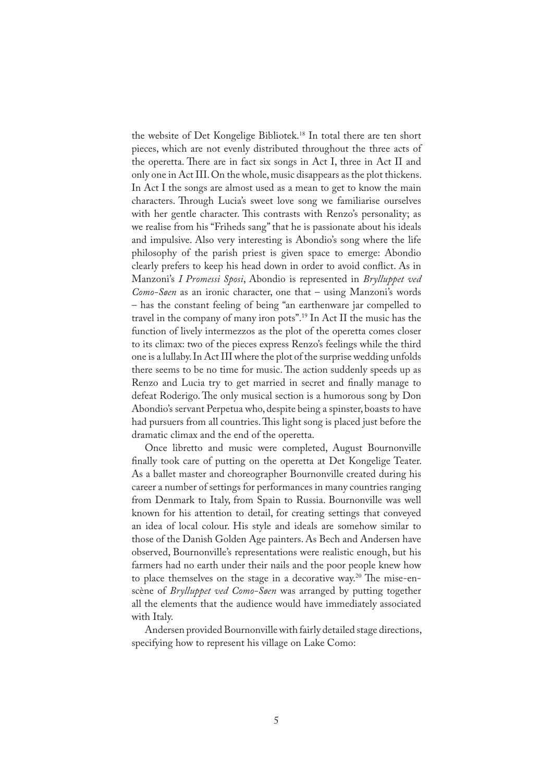the website of Det Kongelige Bibliotek.<sup>18</sup> In total there are ten short pieces, which are not evenly distributed throughout the three acts of the operetta. There are in fact six songs in Act I, three in Act II and only one in Act III. On the whole, music disappears as the plot thickens. In Act I the songs are almost used as a mean to get to know the main characters. Through Lucia's sweet love song we familiarise ourselves with her gentle character. This contrasts with Renzo's personality; as we realise from his "Friheds sang" that he is passionate about his ideals and impulsive. Also very interesting is Abondio's song where the life philosophy of the parish priest is given space to emerge: Abondio clearly prefers to keep his head down in order to avoid con�ict. As in Manzoni's *I Promessi Sposi*, Abondio is represented in *Brylluppet ved Como-Søen* as an ironic character, one that – using Manzoni's words – has the constant feeling of being "an earthenware jar compelled to travel in the company of many iron pots".19 In Act II the music has the function of lively intermezzos as the plot of the operetta comes closer to its climax: two of the pieces express Renzo's feelings while the third one is a lullaby. In Act III where the plot of the surprise wedding unfolds there seems to be no time for music. The action suddenly speeds up as Renzo and Lucia try to get married in secret and finally manage to defeat Roderigo. The only musical section is a humorous song by Don Abondio's servant Perpetua who, despite being a spinster, boasts to have had pursuers from all countries. This light song is placed just before the dramatic climax and the end of the operetta.

Once libretto and music were completed, August Bournonville finally took care of putting on the operetta at Det Kongelige Teater. As a ballet master and choreographer Bournonville created during his career a number of settings for performances in many countries ranging from Denmark to Italy, from Spain to Russia. Bournonville was well known for his attention to detail, for creating settings that conveyed an idea of local colour. His style and ideals are somehow similar to those of the Danish Golden Age painters. As Bech and Andersen have observed, Bournonville's representations were realistic enough, but his farmers had no earth under their nails and the poor people knew how to place themselves on the stage in a decorative way.<sup>20</sup> The mise-enscène of *Brylluppet ved Como-Søen* was arranged by putting together all the elements that the audience would have immediately associated with Italy.

Andersen provided Bournonville with fairly detailed stage directions, specifying how to represent his village on Lake Como: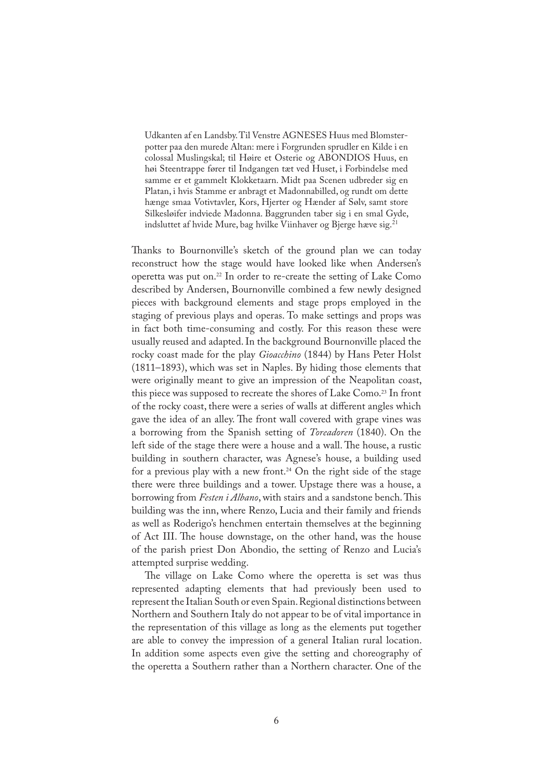Udkanten af en Landsby. Til Venstre AGNESES Huus med Blomsterpotter paa den murede Altan: mere i Forgrunden sprudler en Kilde i en colossal Muslingskal; til Høire et Osterie og ABONDIOS Huus, en høi Steentrappe fører til Indgangen tæt ved Huset, i Forbindelse med samme er et gammelt Klokketaarn. Midt paa Scenen udbreder sig en Platan, i hvis Stamme er anbragt et Madonnabilled, og rundt om dette hænge smaa Votivtavler, Kors, Hjerter og Hænder af Sølv, samt store Silkesløifer indviede Madonna. Baggrunden taber sig i en smal Gyde, indsluttet af hvide Mure, bag hvilke Viinhaver og Bjerge hæve sig.<sup>21</sup>

Thanks to Bournonville's sketch of the ground plan we can today reconstruct how the stage would have looked like when Andersen's operetta was put on.<sup>22</sup> In order to re-create the setting of Lake Como described by Andersen, Bournonville combined a few newly designed pieces with background elements and stage props employed in the staging of previous plays and operas. To make settings and props was in fact both time-consuming and costly. For this reason these were usually reused and adapted. In the background Bournonville placed the rocky coast made for the play *Gioacchino* (1844) by Hans Peter Holst (1811–1893), which was set in Naples. By hiding those elements that were originally meant to give an impression of the Neapolitan coast, this piece was supposed to recreate the shores of Lake Como.<sup>23</sup> In front of the rocky coast, there were a series of walls at different angles which gave the idea of an alley. The front wall covered with grape vines was a borrowing from the Spanish setting of *Toreadoren* (1840). On the left side of the stage there were a house and a wall. The house, a rustic building in southern character, was Agnese's house, a building used for a previous play with a new front.<sup>24</sup> On the right side of the stage there were three buildings and a tower. Upstage there was a house, a borrowing from *Festen i Albano*, with stairs and a sandstone bench. This building was the inn, where Renzo, Lucia and their family and friends as well as Roderigo's henchmen entertain themselves at the beginning of Act III. The house downstage, on the other hand, was the house of the parish priest Don Abondio, the setting of Renzo and Lucia's attempted surprise wedding.

The village on Lake Como where the operetta is set was thus represented adapting elements that had previously been used to represent the Italian South or even Spain. Regional distinctions between Northern and Southern Italy do not appear to be of vital importance in the representation of this village as long as the elements put together are able to convey the impression of a general Italian rural location. In addition some aspects even give the setting and choreography of the operetta a Southern rather than a Northern character. One of the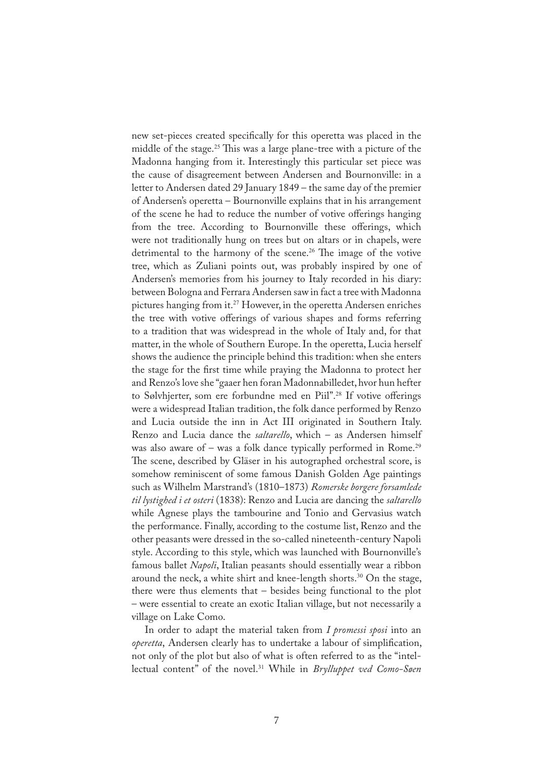new set-pieces created speci�cally for this operetta was placed in the middle of the stage.<sup>25</sup> This was a large plane-tree with a picture of the Madonna hanging from it. Interestingly this particular set piece was the cause of disagreement between Andersen and Bournonville: in a letter to Andersen dated 29 January 1849 – the same day of the premier of Andersen's operetta – Bournonville explains that in his arrangement of the scene he had to reduce the number of votive offerings hanging from the tree. According to Bournonville these offerings, which were not traditionally hung on trees but on altars or in chapels, were detrimental to the harmony of the scene.<sup>26</sup> The image of the votive tree, which as Zuliani points out, was probably inspired by one of Andersen's memories from his journey to Italy recorded in his diary: between Bologna and Ferrara Andersen saw in fact a tree with Madonna pictures hanging from it.<sup>27</sup> However, in the operetta Andersen enriches the tree with votive offerings of various shapes and forms referring to a tradition that was widespread in the whole of Italy and, for that matter, in the whole of Southern Europe. In the operetta, Lucia herself shows the audience the principle behind this tradition: when she enters the stage for the first time while praying the Madonna to protect her and Renzo's love she "gaaer hen foran Madonnabilledet, hvor hun hefter to Sølvhjerter, som ere forbundne med en Piil".<sup>28</sup> If votive offerings were a widespread Italian tradition, the folk dance performed by Renzo and Lucia outside the inn in Act III originated in Southern Italy. Renzo and Lucia dance the *saltarello*, which – as Andersen himself was also aware of – was a folk dance typically performed in Rome.<sup>29</sup> The scene, described by Gläser in his autographed orchestral score, is somehow reminiscent of some famous Danish Golden Age paintings such as Wilhelm Marstrand's (1810–1873) *Romerske borgere forsamlede til lystighed i et osteri* (1838): Renzo and Lucia are dancing the *saltarello* while Agnese plays the tambourine and Tonio and Gervasius watch the performance. Finally, according to the costume list, Renzo and the other peasants were dressed in the so-called nineteenth-century Napoli style. According to this style, which was launched with Bournonville's famous ballet *Napoli*, Italian peasants should essentially wear a ribbon around the neck, a white shirt and knee-length shorts.<sup>30</sup> On the stage, there were thus elements that – besides being functional to the plot – were essential to create an exotic Italian village, but not necessarily a village on Lake Como.

In order to adapt the material taken from *I promessi sposi* into an *operetta*, Andersen clearly has to undertake a labour of simpli�cation, not only of the plot but also of what is often referred to as the "intellectual content" of the novel.<sup>31</sup> While in *Brylluppet ved Como-Søen*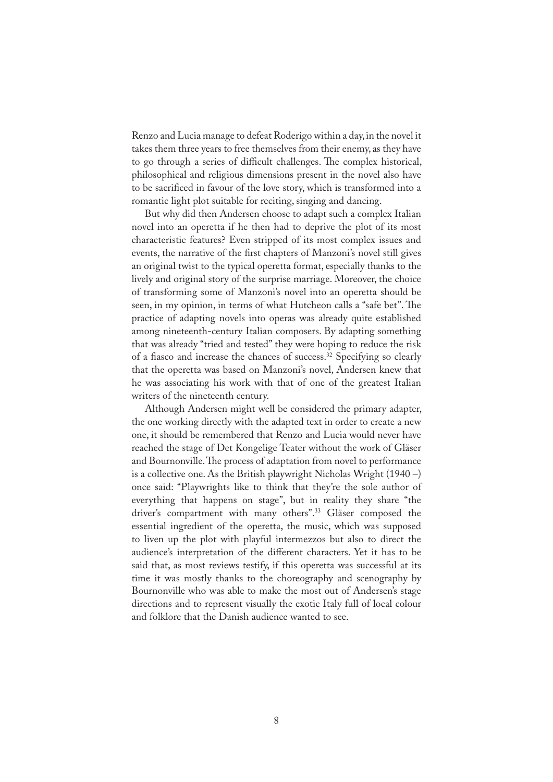Renzo and Lucia manage to defeat Roderigo within a day, in the novel it takes them three years to free themselves from their enemy, as they have to go through a series of difficult challenges. The complex historical, philosophical and religious dimensions present in the novel also have to be sacrificed in favour of the love story, which is transformed into a romantic light plot suitable for reciting, singing and dancing.

But why did then Andersen choose to adapt such a complex Italian novel into an operetta if he then had to deprive the plot of its most characteristic features? Even stripped of its most complex issues and events, the narrative of the first chapters of Manzoni's novel still gives an original twist to the typical operetta format, especially thanks to the lively and original story of the surprise marriage. Moreover, the choice of transforming some of Manzoni's novel into an operetta should be seen, in my opinion, in terms of what Hutcheon calls a "safe bet". The practice of adapting novels into operas was already quite established among nineteenth-century Italian composers. By adapting something that was already "tried and tested" they were hoping to reduce the risk of a fiasco and increase the chances of success.<sup>32</sup> Specifying so clearly that the operetta was based on Manzoni's novel, Andersen knew that he was associating his work with that of one of the greatest Italian writers of the nineteenth century.

Although Andersen might well be considered the primary adapter, the one working directly with the adapted text in order to create a new one, it should be remembered that Renzo and Lucia would never have reached the stage of Det Kongelige Teater without the work of Gläser and Bournonville. The process of adaptation from novel to performance is a collective one. As the British playwright Nicholas Wright (1940 –) once said: "Playwrights like to think that they're the sole author of everything that happens on stage", but in reality they share "the driver's compartment with many others".33 Gläser composed the essential ingredient of the operetta, the music, which was supposed to liven up the plot with playful intermezzos but also to direct the audience's interpretation of the different characters. Yet it has to be said that, as most reviews testify, if this operetta was successful at its time it was mostly thanks to the choreography and scenography by Bournonville who was able to make the most out of Andersen's stage directions and to represent visually the exotic Italy full of local colour and folklore that the Danish audience wanted to see.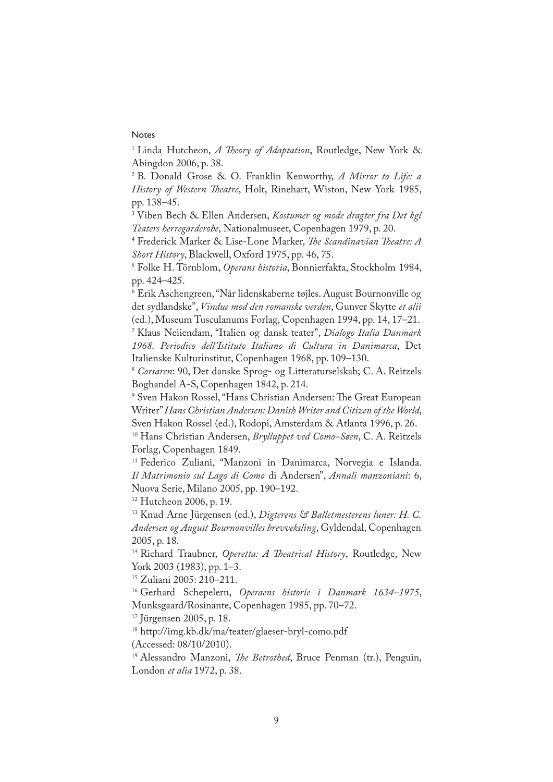## Notes

<sup>1</sup> Linda Hutcheon, *A Theory of Adaptation*, Routledge, New York & Abingdon 2006, p. 38.

2 B. Donald Grose & O. Franklin Kenworthy, *A Mirror to Life: a History of Western �eatre*, Holt, Rinehart, Wiston, New York 1985, pp. 138–45.

3 Viben Bech & Ellen Andersen, *Kostumer og mode dragter fra Det kgl Teaters herregarderobe*, Nationalmuseet, Copenhagen 1979, p. 20.

4 Frederick Marker & Lise-Lone Marker, *�e Scandinavian �eatre: A Short History*, Blackwell, Oxford 1975, pp. 46, 75.

5 Folke H. Törnblom, *Operans historia*, Bonnierfakta, Stockholm 1984, pp. 424–425.

6 Erik Aschengreen, "Når lidenskaberne tøjles. August Bournonville og det sydlandske", *Vindue mod den romanske verden*, Gunver Skytte *et alii* (ed.), Museum Tusculanums Forlag, Copenhagen 1994, pp. 14, 17–21.

7 Klaus Neiiendam, "Italien og dansk teater", *Dialogo Italia Danmark 1968. Periodico dell'Istituto Italiano di Cultura in Danimarca*, Det Italienske Kulturinstitut, Copenhagen 1968, pp. 109–130.

<sup>8</sup> *Corsaren*: 90, Det danske Sprog- og Litteraturselskab; C. A. Reitzels Boghandel A-S, Copenhagen 1842, p. 214.

<sup>9</sup> Sven Hakon Rossel, "Hans Christian Andersen: The Great European Writer" *Hans Christian Andersen: Danish Writer and Citizen of the World*, Sven Hakon Rossel (ed.), Rodopi, Amsterdam & Atlanta 1996, p. 26.

10 Hans Christian Andersen, *Brylluppet ved Como–Søen*, C. A. Reitzels Forlag, Copenhagen 1849.

11 Federico Zuliani, "Manzoni in Danimarca, Norvegia e Islanda. *Il Matrimonio sul Lago di Como* di Andersen", *Annali manzoniani*: 6, Nuova Serie, Milano 2005, pp. 190–192.

12 Hutcheon 2006, p. 19.

13 Knud Arne Jürgensen (ed.), *Digterens & Balletmesterens luner: H. C. Andersen og August Bournonvilles brevveksling*, Gyldendal, Copenhagen 2005, p. 18.

<sup>14</sup> Richard Traubner, *Operetta: A Theatrical History*, Routledge, New York 2003 (1983), pp. 1–3.

15 Zuliani 2005: 210–211.

16 Gerhard Schepelern, *Operaens historie i Danmark 1634–1975*, Munksgaard/Rosinante, Copenhagen 1985, pp. 70–72.

17 Jürgensen 2005, p. 18.

<sup>18</sup> http://img.kb.dk/ma/teater/glaeser-bryl-como.pdf

(Accessed: 08/10/2010).

<sup>19</sup> Alessandro Manzoni, *The Betrothed*, Bruce Penman (tr.), Penguin, London *et alia* 1972, p. 38.